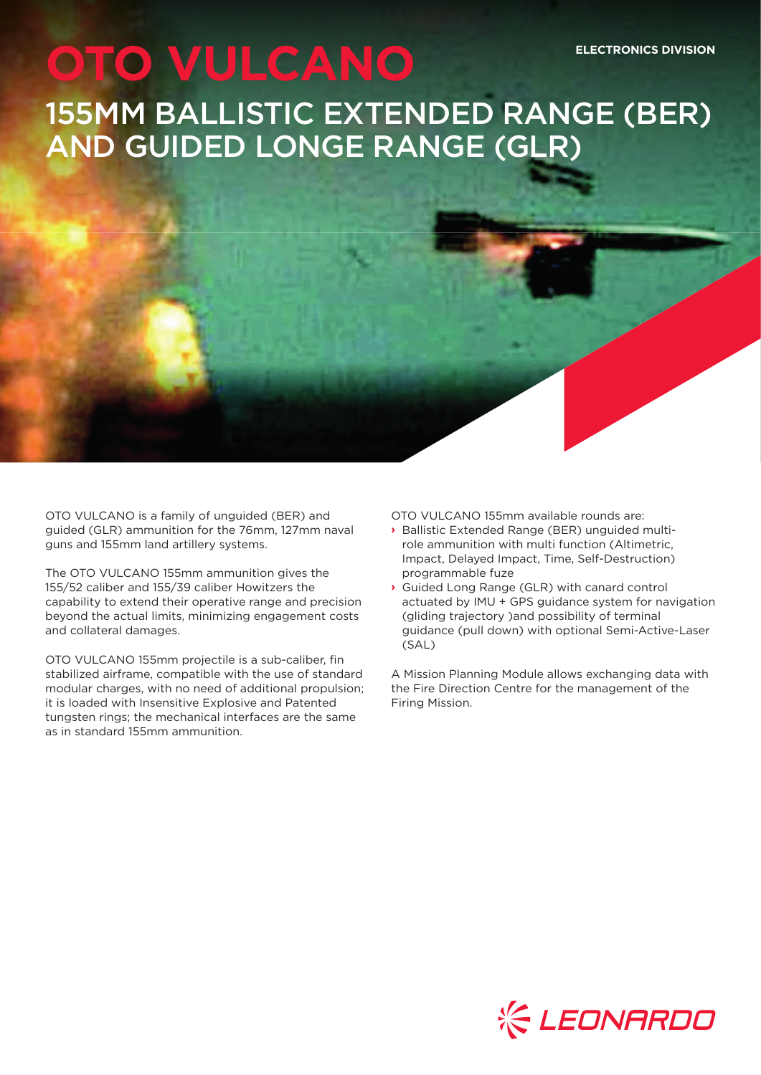# **OTO VULCANO** 155MM BALLISTIC EXTENDED RANGE (BER) AND GUIDED LONGE RANGE (GLR) **ELECTRONICS DIVISION**

OTO VULCANO is a family of unguided (BER) and guided (GLR) ammunition for the 76mm, 127mm naval guns and 155mm land artillery systems.

The OTO VULCANO 155mm ammunition gives the 155/52 caliber and 155/39 caliber Howitzers the capability to extend their operative range and precision beyond the actual limits, minimizing engagement costs and collateral damages.

OTO VULCANO 155mm projectile is a sub-caliber, fin stabilized airframe, compatible with the use of standard modular charges, with no need of additional propulsion; it is loaded with Insensitive Explosive and Patented tungsten rings; the mechanical interfaces are the same as in standard 155mm ammunition.

OTO VULCANO 155mm available rounds are:

- **›** Ballistic Extended Range (BER) unguided multirole ammunition with multi function (Altimetric, Impact, Delayed Impact, Time, Self-Destruction) programmable fuze
- **›** Guided Long Range (GLR) with canard control actuated by IMU + GPS guidance system for navigation (gliding trajectory )and possibility of terminal guidance (pull down) with optional Semi-Active-Laser (SAL)

A Mission Planning Module allows exchanging data with the Fire Direction Centre for the management of the Firing Mission.